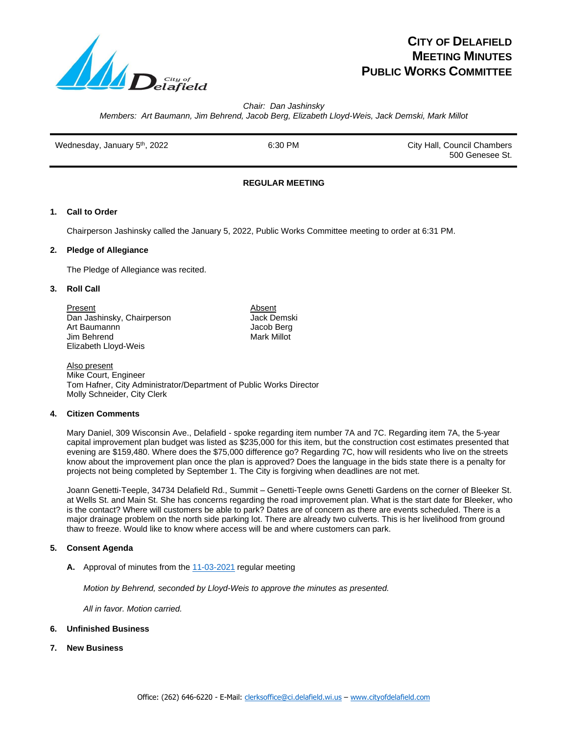

# **CITY OF DELAFIELD MEETING MINUTES PUBLIC WORKS COMMITTEE**

*Chair: Dan Jashinsky*

*Members: Art Baumann, Jim Behrend, Jacob Berg, Elizabeth Lloyd-Weis, Jack Demski, Mark Millot*

Wednesday, January 5<sup>th</sup>, 2022 **6:30 PM** 6:30 PM City Hall, Council Chambers 500 Genesee St.

# **REGULAR MEETING**

## **1. Call to Order**

Chairperson Jashinsky called the January 5, 2022, Public Works Committee meeting to order at 6:31 PM.

#### **2. Pledge of Allegiance**

The Pledge of Allegiance was recited.

#### **3. Roll Call**

Present Absent Dan Jashinsky, Chairperson Art Baumannn Jacob Berg Jim Behrend Elizabeth Lloyd-Weis

Also present Mike Court, Engineer Tom Hafner, City Administrator/Department of Public Works Director Molly Schneider, City Clerk

#### **4. Citizen Comments**

Mary Daniel, 309 Wisconsin Ave., Delafield - spoke regarding item number 7A and 7C. Regarding item 7A, the 5-year capital improvement plan budget was listed as \$235,000 for this item, but the construction cost estimates presented that evening are \$159,480. Where does the \$75,000 difference go? Regarding 7C, how will residents who live on the streets know about the improvement plan once the plan is approved? Does the language in the bids state there is a penalty for projects not being completed by September 1. The City is forgiving when deadlines are not met.

Joann Genetti-Teeple, 34734 Delafield Rd., Summit – Genetti-Teeple owns Genetti Gardens on the corner of Bleeker St. at Wells St. and Main St. She has concerns regarding the road improvement plan. What is the start date for Bleeker, who is the contact? Where will customers be able to park? Dates are of concern as there are events scheduled. There is a major drainage problem on the north side parking lot. There are already two culverts. This is her livelihood from ground thaw to freeze. Would like to know where access will be and where customers can park.

## **5. Consent Agenda**

**A.** Approval of minutes from th[e 11-03-2021](file:///C:/Users/crivers/AppData/Local/Microsoft/Windows/INetCache/Public%20Works%20Committee%20Minutes/2021/2021-11-03%20PWC%20Draft%20Minutes.pdf) regular meeting

*Motion by Behrend, seconded by Lloyd-Weis to approve the minutes as presented.* 

*All in favor. Motion carried.* 

- **6. Unfinished Business**
- **7. New Business**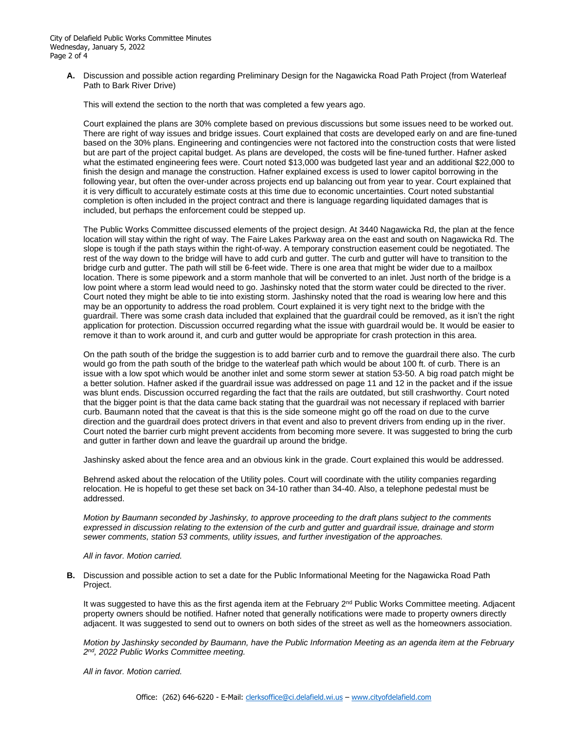**A.** Discussion and possible action regarding Preliminary Design for the Nagawicka Road Path Project (from Waterleaf Path to Bark River Drive)

This will extend the section to the north that was completed a few years ago.

Court explained the plans are 30% complete based on previous discussions but some issues need to be worked out. There are right of way issues and bridge issues. Court explained that costs are developed early on and are fine-tuned based on the 30% plans. Engineering and contingencies were not factored into the construction costs that were listed but are part of the project capital budget. As plans are developed, the costs will be fine-tuned further. Hafner asked what the estimated engineering fees were. Court noted \$13,000 was budgeted last year and an additional \$22,000 to finish the design and manage the construction. Hafner explained excess is used to lower capitol borrowing in the following year, but often the over-under across projects end up balancing out from year to year. Court explained that it is very difficult to accurately estimate costs at this time due to economic uncertainties. Court noted substantial completion is often included in the project contract and there is language regarding liquidated damages that is included, but perhaps the enforcement could be stepped up.

The Public Works Committee discussed elements of the project design. At 3440 Nagawicka Rd, the plan at the fence location will stay within the right of way. The Faire Lakes Parkway area on the east and south on Nagawicka Rd. The slope is tough if the path stays within the right-of-way. A temporary construction easement could be negotiated. The rest of the way down to the bridge will have to add curb and gutter. The curb and gutter will have to transition to the bridge curb and gutter. The path will still be 6-feet wide. There is one area that might be wider due to a mailbox location. There is some pipework and a storm manhole that will be converted to an inlet. Just north of the bridge is a low point where a storm lead would need to go. Jashinsky noted that the storm water could be directed to the river. Court noted they might be able to tie into existing storm. Jashinsky noted that the road is wearing low here and this may be an opportunity to address the road problem. Court explained it is very tight next to the bridge with the guardrail. There was some crash data included that explained that the guardrail could be removed, as it isn't the right application for protection. Discussion occurred regarding what the issue with guardrail would be. It would be easier to remove it than to work around it, and curb and gutter would be appropriate for crash protection in this area.

On the path south of the bridge the suggestion is to add barrier curb and to remove the guardrail there also. The curb would go from the path south of the bridge to the waterleaf path which would be about 100 ft. of curb. There is an issue with a low spot which would be another inlet and some storm sewer at station 53-50. A big road patch might be a better solution. Hafner asked if the guardrail issue was addressed on page 11 and 12 in the packet and if the issue was blunt ends. Discussion occurred regarding the fact that the rails are outdated, but still crashworthy. Court noted that the bigger point is that the data came back stating that the guardrail was not necessary if replaced with barrier curb. Baumann noted that the caveat is that this is the side someone might go off the road on due to the curve direction and the guardrail does protect drivers in that event and also to prevent drivers from ending up in the river. Court noted the barrier curb might prevent accidents from becoming more severe. It was suggested to bring the curb and gutter in farther down and leave the guardrail up around the bridge.

Jashinsky asked about the fence area and an obvious kink in the grade. Court explained this would be addressed.

Behrend asked about the relocation of the Utility poles. Court will coordinate with the utility companies regarding relocation. He is hopeful to get these set back on 34-10 rather than 34-40. Also, a telephone pedestal must be addressed.

*Motion by Baumann seconded by Jashinsky, to approve proceeding to the draft plans subject to the comments expressed in discussion relating to the extension of the curb and gutter and guardrail issue, drainage and storm sewer comments, station 53 comments, utility issues, and further investigation of the approaches.*

#### *All in favor. Motion carried.*

**B.** Discussion and possible action to set a date for the Public Informational Meeting for the Nagawicka Road Path Project.

It was suggested to have this as the first agenda item at the February 2<sup>nd</sup> Public Works Committee meeting. Adjacent property owners should be notified. Hafner noted that generally notifications were made to property owners directly adjacent. It was suggested to send out to owners on both sides of the street as well as the homeowners association.

*Motion by Jashinsky seconded by Baumann, have the Public Information Meeting as an agenda item at the February 2 nd, 2022 Public Works Committee meeting.* 

*All in favor. Motion carried.*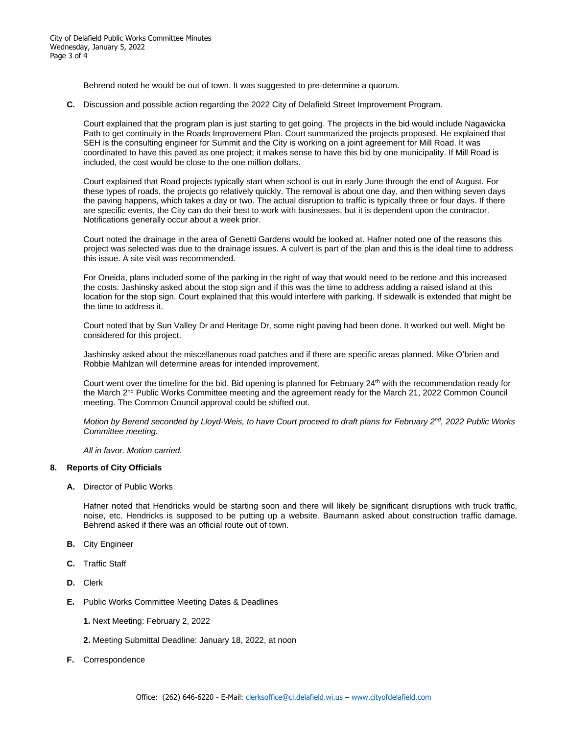Behrend noted he would be out of town. It was suggested to pre-determine a quorum.

**C.** Discussion and possible action regarding the 2022 City of Delafield Street Improvement Program.

Court explained that the program plan is just starting to get going. The projects in the bid would include Nagawicka Path to get continuity in the Roads Improvement Plan. Court summarized the projects proposed. He explained that SEH is the consulting engineer for Summit and the City is working on a joint agreement for Mill Road. It was coordinated to have this paved as one project; it makes sense to have this bid by one municipality. If Mill Road is included, the cost would be close to the one million dollars.

Court explained that Road projects typically start when school is out in early June through the end of August. For these types of roads, the projects go relatively quickly. The removal is about one day, and then withing seven days the paving happens, which takes a day or two. The actual disruption to traffic is typically three or four days. If there are specific events, the City can do their best to work with businesses, but it is dependent upon the contractor. Notifications generally occur about a week prior.

Court noted the drainage in the area of Genetti Gardens would be looked at. Hafner noted one of the reasons this project was selected was due to the drainage issues. A culvert is part of the plan and this is the ideal time to address this issue. A site visit was recommended.

For Oneida, plans included some of the parking in the right of way that would need to be redone and this increased the costs. Jashinsky asked about the stop sign and if this was the time to address adding a raised island at this location for the stop sign. Court explained that this would interfere with parking. If sidewalk is extended that might be the time to address it.

Court noted that by Sun Valley Dr and Heritage Dr, some night paving had been done. It worked out well. Might be considered for this project.

Jashinsky asked about the miscellaneous road patches and if there are specific areas planned. Mike O'brien and Robbie Mahlzan will determine areas for intended improvement.

Court went over the timeline for the bid. Bid opening is planned for February 24<sup>th</sup> with the recommendation ready for the March 2<sup>nd</sup> Public Works Committee meeting and the agreement ready for the March 21, 2022 Common Council meeting. The Common Council approval could be shifted out.

*Motion by Berend seconded by Lloyd-Weis, to have Court proceed to draft plans for February 2nd, 2022 Public Works Committee meeting.* 

*All in favor. Motion carried.* 

#### **8. Reports of City Officials**

**A.** Director of Public Works

Hafner noted that Hendricks would be starting soon and there will likely be significant disruptions with truck traffic, noise, etc. Hendricks is supposed to be putting up a website. Baumann asked about construction traffic damage. Behrend asked if there was an official route out of town.

- **B.** City Engineer
- **C.** Traffic Staff
- **D.** Clerk
- **E.** Public Works Committee Meeting Dates & Deadlines
	- **1.** Next Meeting: February 2, 2022
	- **2.** Meeting Submittal Deadline: January 18, 2022, at noon
- **F.** Correspondence